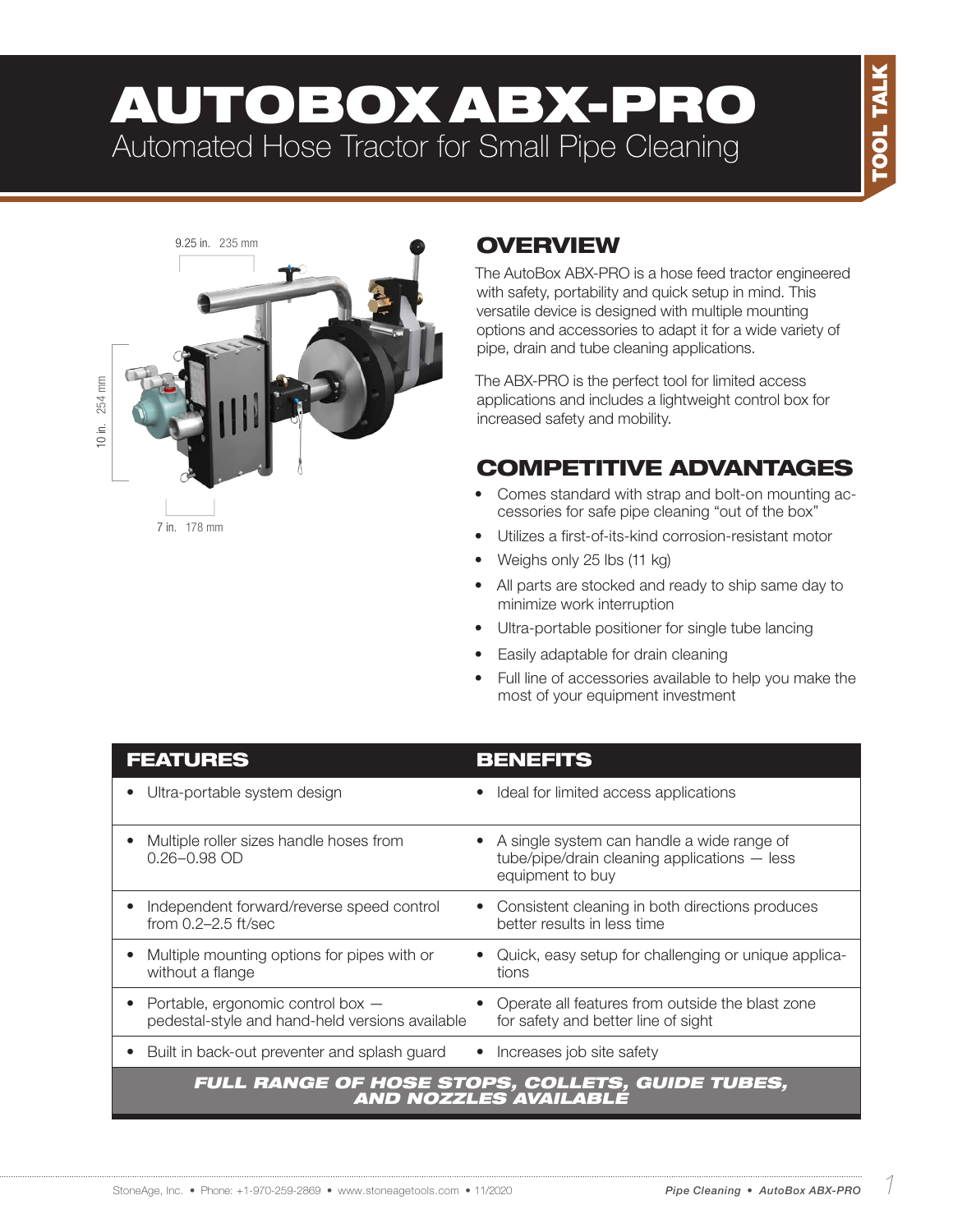# AUTOBOX ABX-PRO Automated Hose Tractor for Small Pipe Cleaning



## **OVERVIEW**

The AutoBox ABX-PRO is a hose feed tractor engineered with safety, portability and quick setup in mind. This versatile device is designed with multiple mounting options and accessories to adapt it for a wide variety of pipe, drain and tube cleaning applications.

The ABX-PRO is the perfect tool for limited access applications and includes a lightweight control box for increased safety and mobility.

## COMPETITIVE ADVANTAGES

- Comes standard with strap and bolt-on mounting accessories for safe pipe cleaning "out of the box"
- Utilizes a first-of-its-kind corrosion-resistant motor
- Weighs only 25 lbs (11 kg)
- All parts are stocked and ready to ship same day to minimize work interruption
- Ultra-portable positioner for single tube lancing
- Easily adaptable for drain cleaning
- Full line of accessories available to help you make the most of your equipment investment

| <b>FEATURES</b>                                                                      | <b>BENEFITS</b>                                                                                                |
|--------------------------------------------------------------------------------------|----------------------------------------------------------------------------------------------------------------|
| Ultra-portable system design                                                         | Ideal for limited access applications                                                                          |
| Multiple roller sizes handle hoses from<br>$0.26 - 0.98$ OD                          | A single system can handle a wide range of<br>tube/pipe/drain cleaning applications - less<br>equipment to buy |
| Independent forward/reverse speed control<br>from 0.2-2.5 ft/sec                     | Consistent cleaning in both directions produces<br>better results in less time                                 |
| Multiple mounting options for pipes with or<br>without a flange                      | Quick, easy setup for challenging or unique applica-<br>tions                                                  |
| Portable, ergonomic control box -<br>pedestal-style and hand-held versions available | Operate all features from outside the blast zone<br>for safety and better line of sight                        |
| Built in back-out preventer and splash guard                                         | Increases job site safety                                                                                      |
|                                                                                      | <b>FULL RANGE OF HOSE STOPS, COLLETS, GUIDE TUBES,<br/>AND NOZZLES AVAILABLE</b>                               |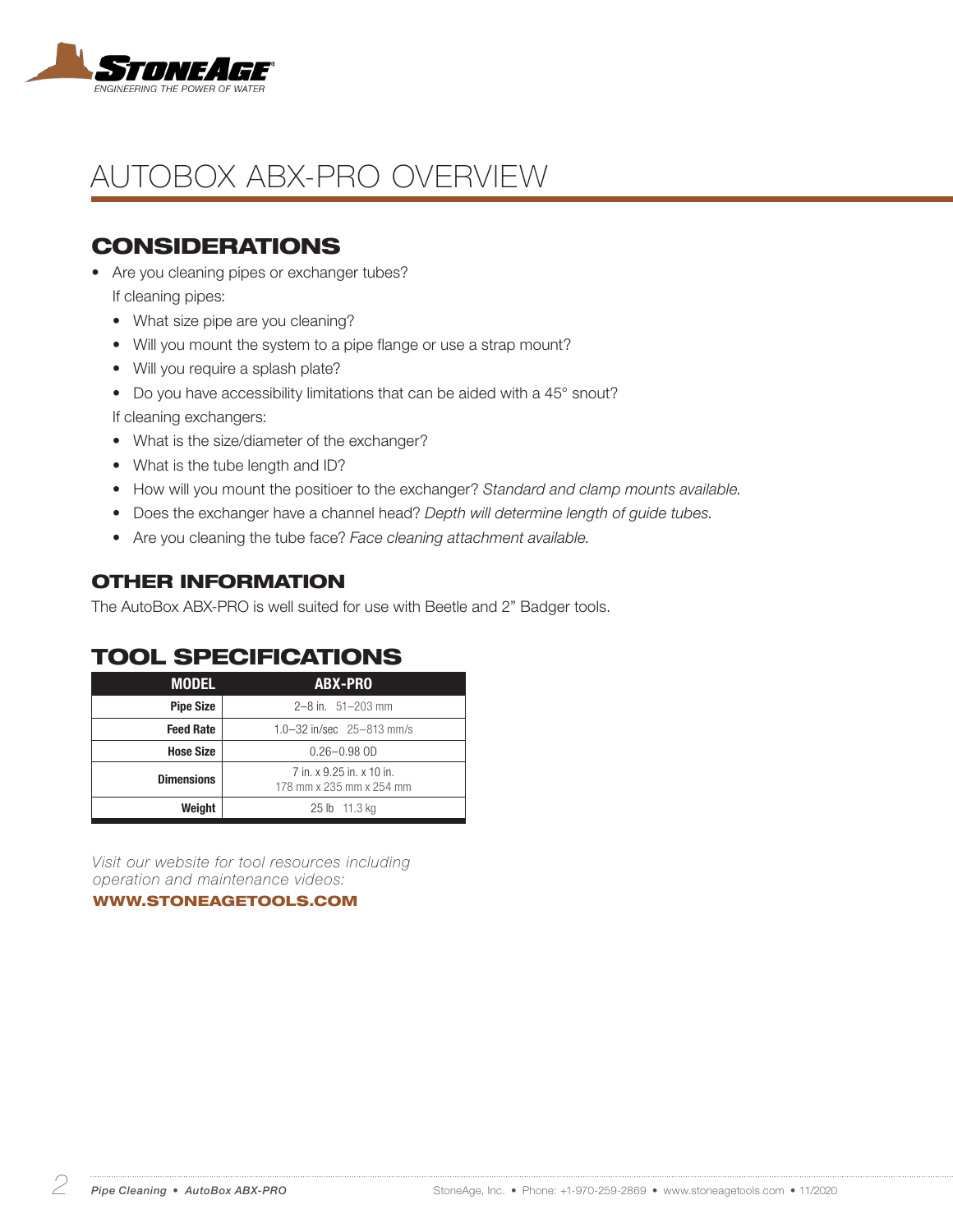

# AUTOBOX ABX-PRO OVERVIEW

### CONSIDERATIONS

- Are you cleaning pipes or exchanger tubes? If cleaning pipes:
	- What size pipe are you cleaning?
	- Will you mount the system to a pipe flange or use a strap mount?
	- Will you require a splash plate?
	- Do you have accessibility limitations that can be aided with a 45° snout?

If cleaning exchangers:

- What is the size/diameter of the exchanger?
- What is the tube length and ID?
- How will you mount the positioer to the exchanger? *Standard and clamp mounts available.*
- Does the exchanger have a channel head? *Depth will determine length of guide tubes.*
- Are you cleaning the tube face? *Face cleaning attachment available.*

#### OTHER INFORMATION

The AutoBox ABX-PRO is well suited for use with Beetle and 2" Badger tools.

### TOOL SPECIFICATIONS

| <b>MODEL</b>                                                               | ABX-PRO                     |  |  |
|----------------------------------------------------------------------------|-----------------------------|--|--|
| <b>Pipe Size</b>                                                           | $2-8$ in. $51-203$ mm       |  |  |
| <b>Feed Rate</b>                                                           | 1.0-32 in/sec $25-813$ mm/s |  |  |
| <b>Hose Size</b>                                                           | $0.26 - 0.98$ OD            |  |  |
| 7 in. x 9.25 in. x 10 in.<br><b>Dimensions</b><br>178 mm x 235 mm x 254 mm |                             |  |  |
| Weight                                                                     | 25 lb 11.3 kg               |  |  |

*Visit our website for tool resources including operation and maintenance videos:* 

WWW.STONEAGETOOLS.COM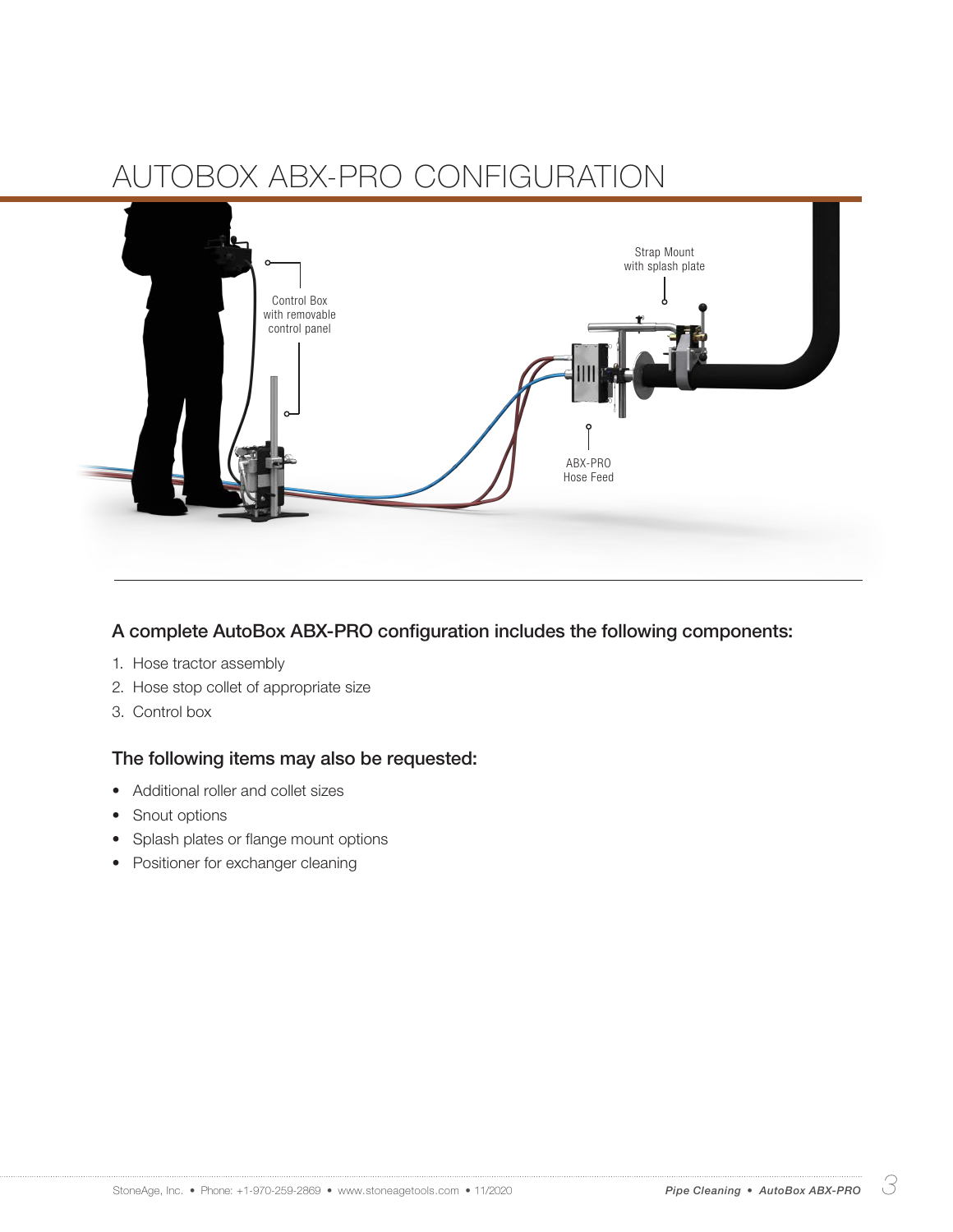

A complete AutoBox ABX-PRO configuration includes the following components:

- 1. Hose tractor assembly
- 2. Hose stop collet of appropriate size
- 3. Control box

#### The following items may also be requested:

- Additional roller and collet sizes
- Snout options
- Splash plates or flange mount options
- Positioner for exchanger cleaning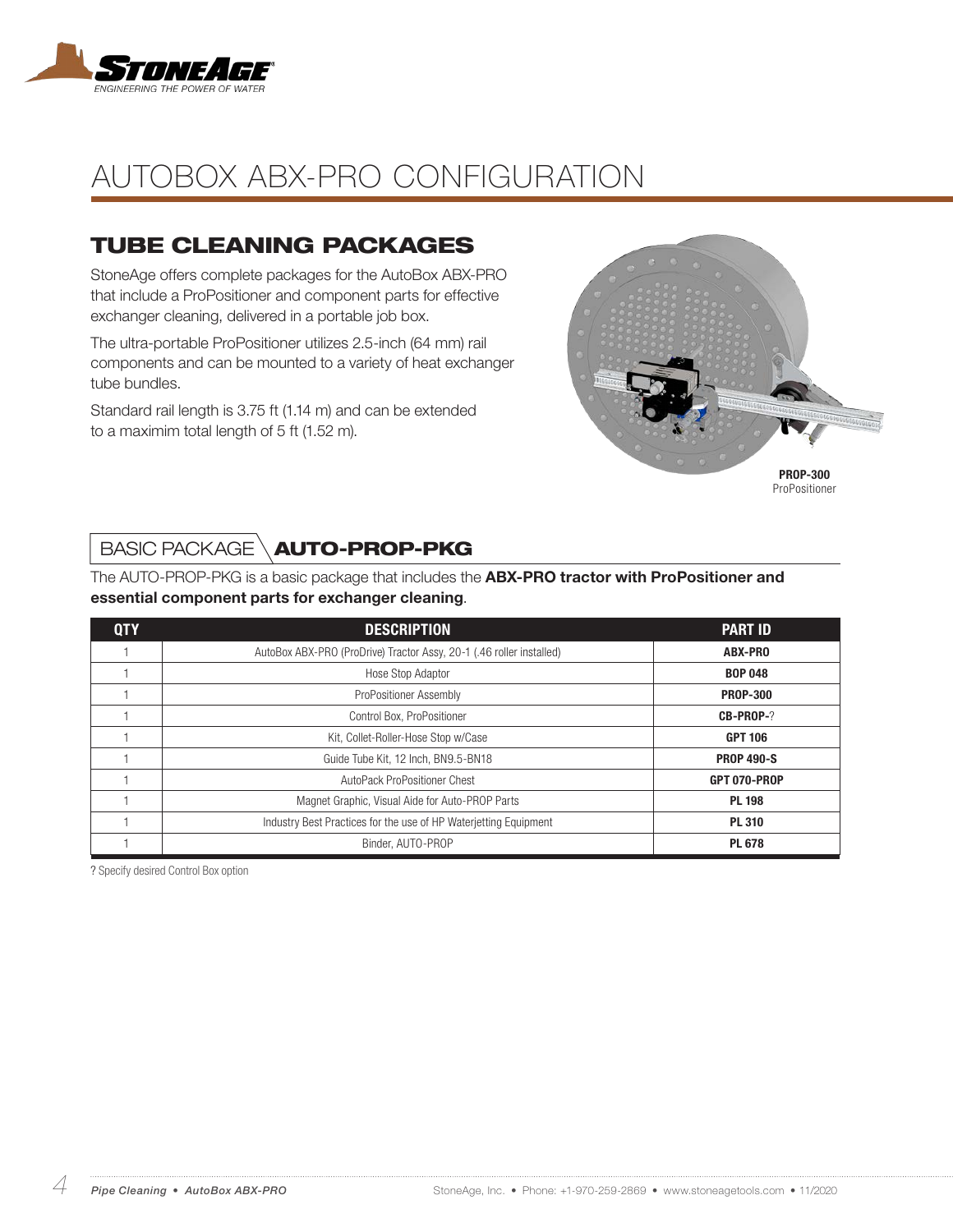

## TUBE CLEANING PACKAGES

StoneAge offers complete packages for the AutoBox ABX-PRO that include a ProPositioner and component parts for effective exchanger cleaning, delivered in a portable job box.

The ultra-portable ProPositioner utilizes 2.5-inch (64 mm) rail components and can be mounted to a variety of heat exchanger tube bundles.

Standard rail length is 3.75 ft (1.14 m) and can be extended to a maximim total length of 5 ft (1.52 m).



ProPositioner

## BASIC PACKAGE \**AUTO-PROP-PKG**

The AUTO-PROP-PKG is a basic package that includes the **ABX-PRO tractor with ProPositioner and** essential component parts for exchanger cleaning.

| <b>QTY</b> | <b>DESCRIPTION</b>                                                                | <b>PART ID</b>  |  |
|------------|-----------------------------------------------------------------------------------|-----------------|--|
|            | AutoBox ABX-PRO (ProDrive) Tractor Assy, 20-1 (.46 roller installed)              | ABX-PRO         |  |
|            | Hose Stop Adaptor                                                                 | <b>BOP 048</b>  |  |
|            | ProPositioner Assembly                                                            | <b>PROP-300</b> |  |
|            | Control Box, ProPositioner                                                        | CB-PROP-?       |  |
|            | Kit, Collet-Roller-Hose Stop w/Case                                               | <b>GPT 106</b>  |  |
|            | Guide Tube Kit, 12 Inch, BN9.5-BN18<br><b>PROP 490-S</b>                          |                 |  |
|            | AutoPack ProPositioner Chest                                                      | GPT 070-PROP    |  |
|            | Magnet Graphic, Visual Aide for Auto-PROP Parts                                   | <b>PL 198</b>   |  |
|            | Industry Best Practices for the use of HP Waterjetting Equipment<br><b>PL 310</b> |                 |  |
|            | Binder, AUTO-PROP                                                                 | <b>PL 678</b>   |  |

? Specify desired Control Box option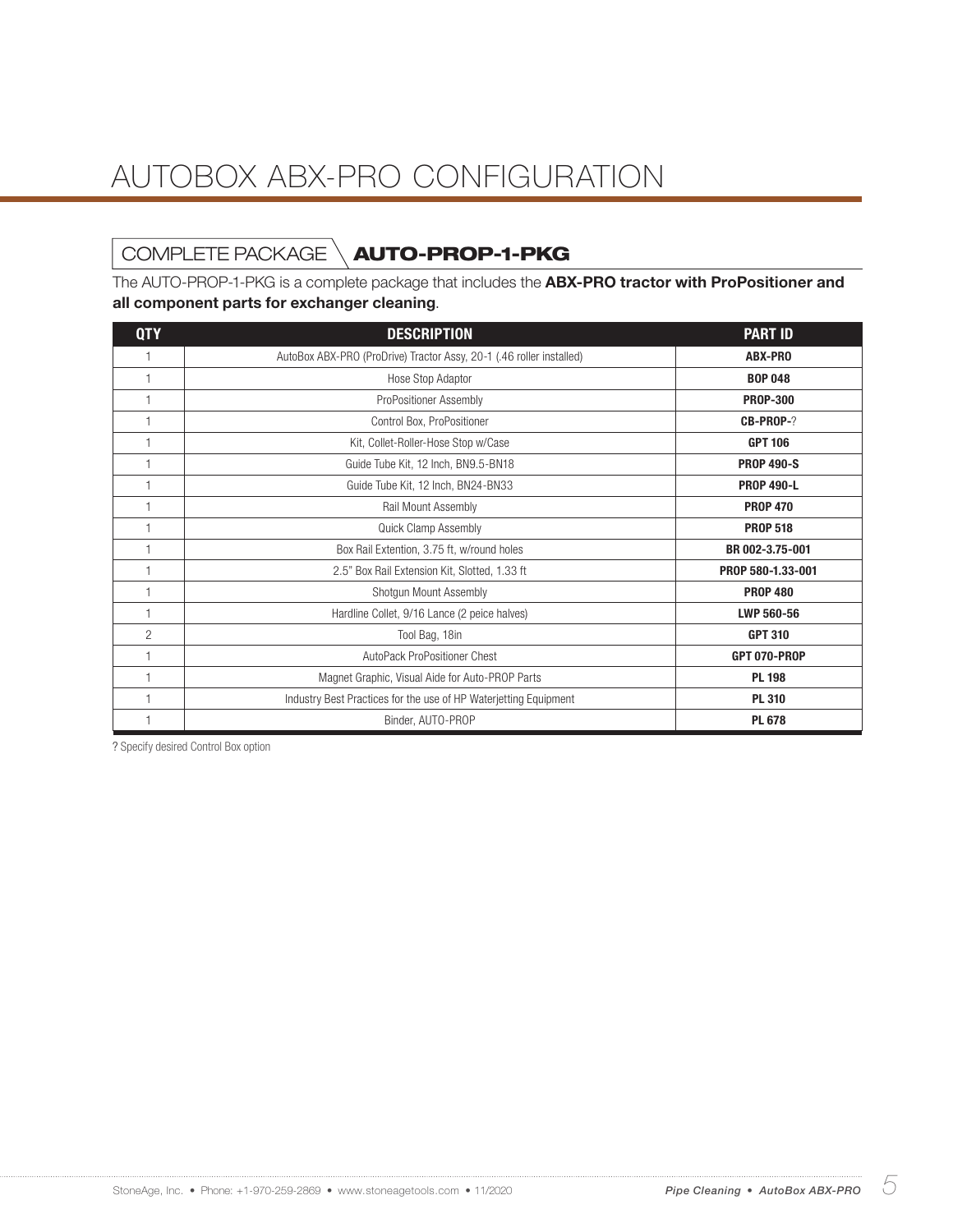# COMPLETE PACKAGE \**AUTO-PROP-1-PKG**

The AUTO-PROP-1-PKG is a complete package that includes the **ABX-PRO tractor with ProPositioner and** all component parts for exchanger cleaning.

| <b>QTY</b>     | <b>DESCRIPTION</b>                                                   | <b>PART ID</b>    |  |
|----------------|----------------------------------------------------------------------|-------------------|--|
|                | AutoBox ABX-PRO (ProDrive) Tractor Assy, 20-1 (.46 roller installed) | <b>ABX-PRO</b>    |  |
|                | Hose Stop Adaptor                                                    | <b>BOP 048</b>    |  |
|                | ProPositioner Assembly                                               | <b>PROP-300</b>   |  |
|                | Control Box, ProPositioner                                           | <b>CB-PROP-?</b>  |  |
|                | Kit, Collet-Roller-Hose Stop w/Case                                  | <b>GPT 106</b>    |  |
|                | Guide Tube Kit, 12 Inch, BN9.5-BN18                                  | <b>PROP 490-S</b> |  |
|                | Guide Tube Kit, 12 Inch, BN24-BN33                                   | <b>PROP 490-L</b> |  |
|                | Rail Mount Assembly<br><b>PROP 470</b>                               |                   |  |
|                | <b>Quick Clamp Assembly</b>                                          | <b>PROP 518</b>   |  |
|                | Box Rail Extention, 3.75 ft, w/round holes<br>BR 002-3.75-001        |                   |  |
|                | 2.5" Box Rail Extension Kit, Slotted, 1.33 ft                        | PROP 580-1.33-001 |  |
|                | Shotgun Mount Assembly                                               | <b>PROP 480</b>   |  |
|                | Hardline Collet, 9/16 Lance (2 peice halves)<br>LWP 560-56           |                   |  |
| $\overline{c}$ | Tool Bag, 18in                                                       | <b>GPT 310</b>    |  |
|                | AutoPack ProPositioner Chest<br>GPT 070-PROP                         |                   |  |
|                | <b>PL 198</b><br>Magnet Graphic, Visual Aide for Auto-PROP Parts     |                   |  |
|                | Industry Best Practices for the use of HP Waterjetting Equipment     | <b>PL 310</b>     |  |
|                | Binder, AUTO-PROP<br><b>PL 678</b>                                   |                   |  |

? Specify desired Control Box option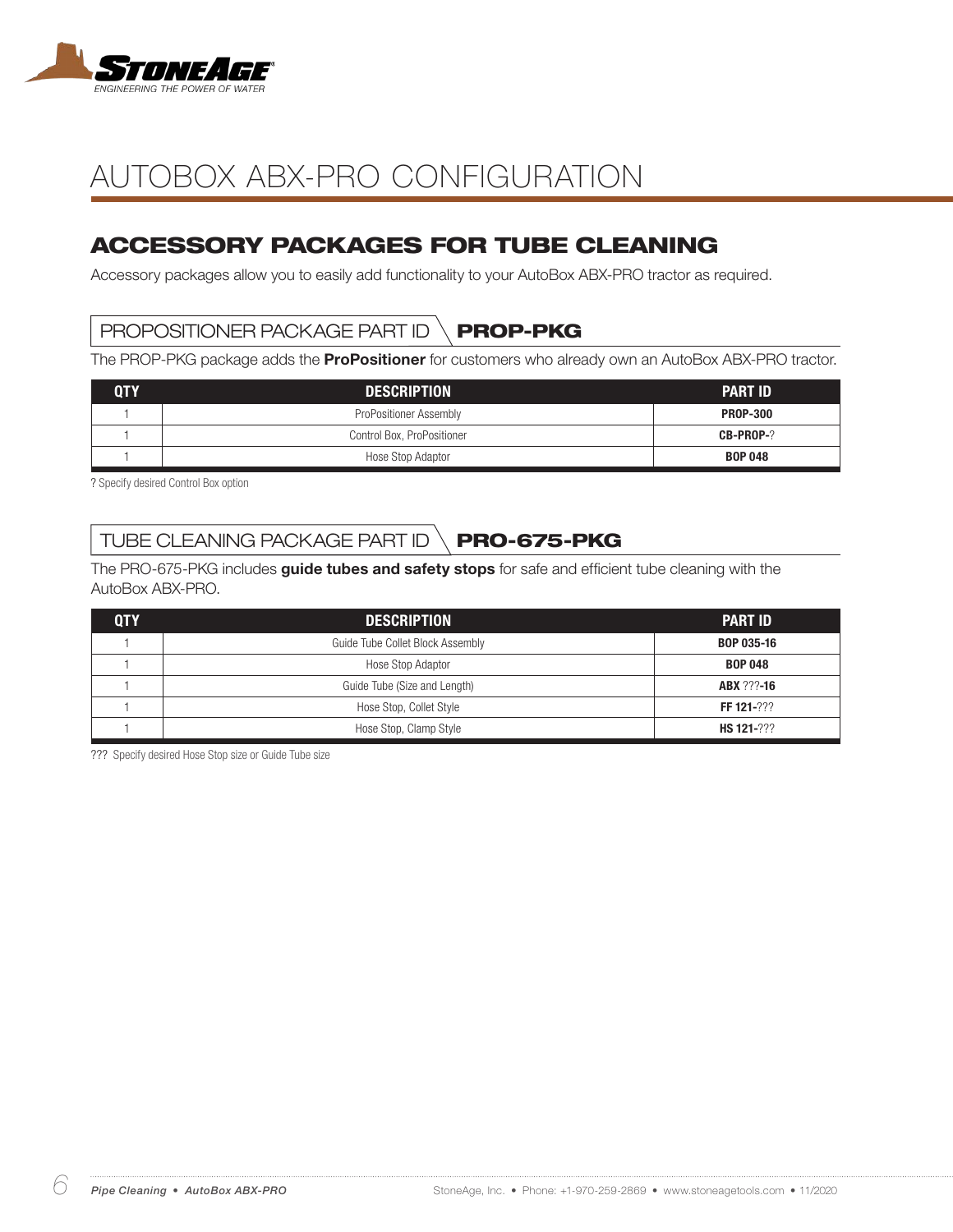

## ACCESSORY PACKAGES FOR TUBE CLEANING

Accessory packages allow you to easily add functionality to your AutoBox ABX-PRO tractor as required.

### PROPOSITIONER PACKAGE PART ID  $\setminus$  **PROP-PKG**

The PROP-PKG package adds the **ProPositioner** for customers who already own an AutoBox ABX-PRO tractor.

| <b>QTY</b> | <b>DESCRIPTION</b>         | <b>PART ID</b>   |
|------------|----------------------------|------------------|
|            | ProPositioner Assembly     | <b>PROP-300</b>  |
|            | Control Box, ProPositioner | <b>CB-PROP-?</b> |
|            | Hose Stop Adaptor          | <b>BOP 048</b>   |

? Specify desired Control Box option

## TUBE CLEANING PACKAGE PART ID  $\setminus$  PRO-675-PKG

The PRO-675-PKG includes guide tubes and safety stops for safe and efficient tube cleaning with the AutoBox ABX-PRO.

| <b>QTY</b> | <b>DESCRIPTION</b>               | <b>PART ID</b>    |
|------------|----------------------------------|-------------------|
|            | Guide Tube Collet Block Assembly | <b>BOP 035-16</b> |
|            | Hose Stop Adaptor                | <b>BOP 048</b>    |
|            | Guide Tube (Size and Length)     | <b>ABX ???-16</b> |
|            | Hose Stop, Collet Style          | FF 121-???        |
|            | Hose Stop, Clamp Style           | HS 121-???        |

??? Specify desired Hose Stop size or Guide Tube size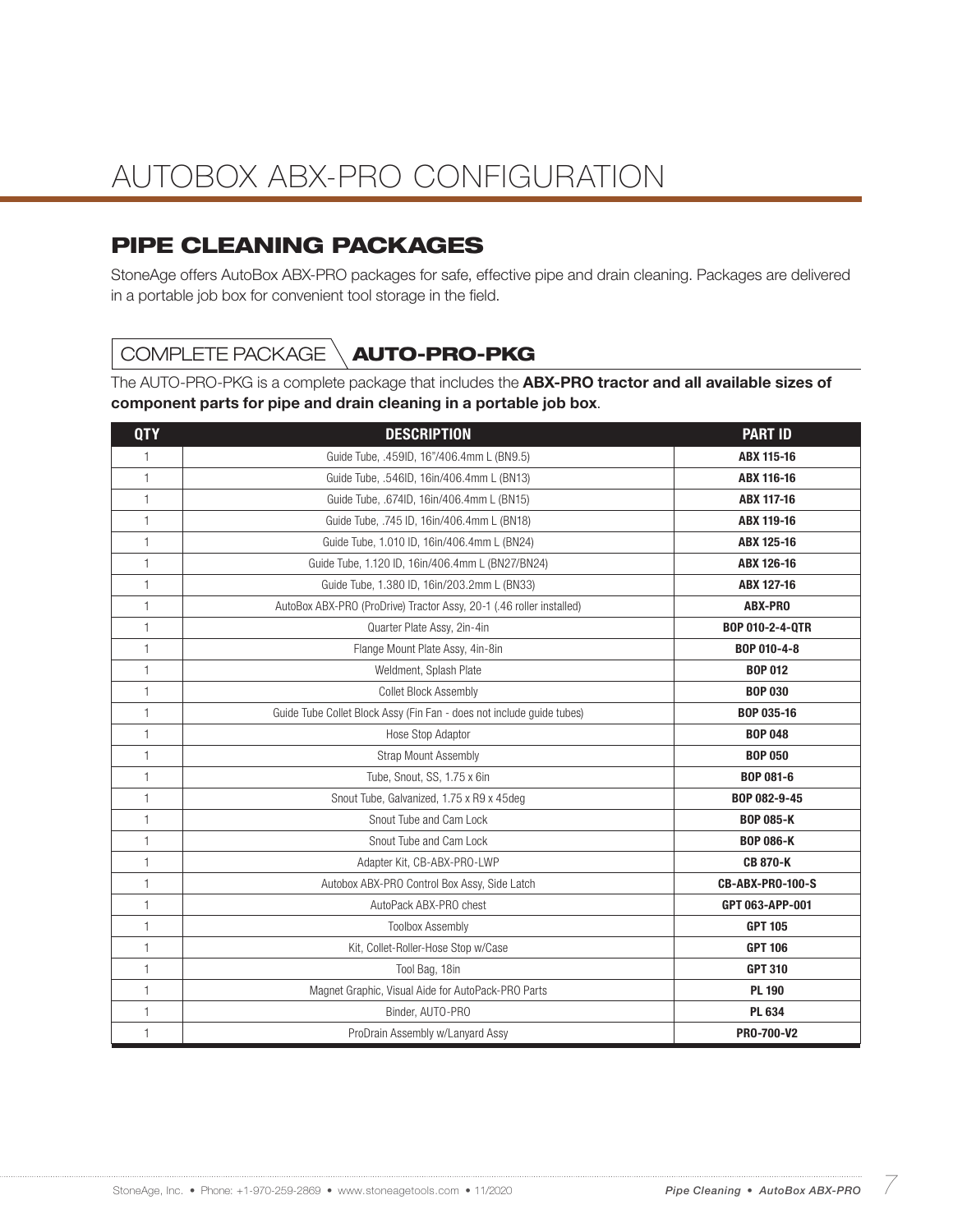## PIPE CLEANING PACKAGES

StoneAge offers AutoBox ABX-PRO packages for safe, effective pipe and drain cleaning. Packages are delivered in a portable job box for convenient tool storage in the field.

## COMPLETE PACKAGE \**AUTO-PRO-PKG**

The AUTO-PRO-PKG is a complete package that includes the **ABX-PRO tractor and all available sizes of** component parts for pipe and drain cleaning in a portable job box.

| <b>QTY</b>   | <b>DESCRIPTION</b>                                                    | <b>PART ID</b>    |  |
|--------------|-----------------------------------------------------------------------|-------------------|--|
| 1            | Guide Tube, .459ID, 16"/406.4mm L (BN9.5)                             | ABX 115-16        |  |
| $\mathbf{1}$ | Guide Tube, .546ID, 16in/406.4mm L (BN13)                             | ABX 116-16        |  |
| $\mathbf{1}$ | Guide Tube, .674ID, 16in/406.4mm L (BN15)                             | ABX 117-16        |  |
| $\mathbf{1}$ | Guide Tube, .745 ID, 16in/406.4mm L (BN18)                            | <b>ABX 119-16</b> |  |
| $\mathbf{1}$ | Guide Tube, 1.010 ID, 16in/406.4mm L (BN24)                           | ABX 125-16        |  |
| $\mathbf{1}$ | Guide Tube, 1.120 ID, 16in/406.4mm L (BN27/BN24)                      | ABX 126-16        |  |
| $\mathbf{1}$ | Guide Tube, 1.380 ID, 16in/203.2mm L (BN33)                           | <b>ABX 127-16</b> |  |
| $\mathbf{1}$ | AutoBox ABX-PRO (ProDrive) Tractor Assy, 20-1 (.46 roller installed)  | ABX-PRO           |  |
| $\mathbf{1}$ | Quarter Plate Assy, 2in-4in                                           | BOP 010-2-4-QTR   |  |
| $\mathbf{1}$ | Flange Mount Plate Assy, 4in-8in                                      | BOP 010-4-8       |  |
| $\mathbf{1}$ | Weldment, Splash Plate                                                | <b>BOP 012</b>    |  |
| $\mathbf{1}$ | Collet Block Assembly                                                 | <b>BOP 030</b>    |  |
| $\mathbf{1}$ | Guide Tube Collet Block Assy (Fin Fan - does not include guide tubes) | BOP 035-16        |  |
| $\mathbf{1}$ | Hose Stop Adaptor                                                     | <b>BOP 048</b>    |  |
| $\mathbf{1}$ | <b>Strap Mount Assembly</b>                                           | <b>BOP 050</b>    |  |
| $\mathbf{1}$ | Tube, Snout, SS, 1.75 x 6in                                           | BOP 081-6         |  |
| $\mathbf{1}$ | Snout Tube, Galvanized, 1.75 x R9 x 45deq                             | BOP 082-9-45      |  |
| $\mathbf{1}$ | Snout Tube and Cam Lock                                               | <b>BOP 085-K</b>  |  |
| $\mathbf{1}$ | Snout Tube and Cam Lock<br><b>BOP 086-K</b>                           |                   |  |
| $\mathbf{1}$ | Adapter Kit, CB-ABX-PRO-LWP                                           | <b>CB 870-K</b>   |  |
| $\mathbf{1}$ | Autobox ABX-PRO Control Box Assy, Side Latch                          | CB-ABX-PRO-100-S  |  |
| $\mathbf{1}$ | AutoPack ABX-PRO chest<br>GPT 063-APP-001                             |                   |  |
| $\mathbf{1}$ | <b>Toolbox Assembly</b><br><b>GPT 105</b>                             |                   |  |
| $\mathbf{1}$ | Kit, Collet-Roller-Hose Stop w/Case                                   | <b>GPT 106</b>    |  |
| $\mathbf{1}$ | Tool Bag, 18in                                                        | <b>GPT 310</b>    |  |
| $\mathbf{1}$ | Magnet Graphic, Visual Aide for AutoPack-PRO Parts                    | <b>PL 190</b>     |  |
| $\mathbf{1}$ | Binder, AUTO-PRO                                                      | PL 634            |  |
| $\mathbf{1}$ | ProDrain Assembly w/Lanyard Assy                                      | PR0-700-V2        |  |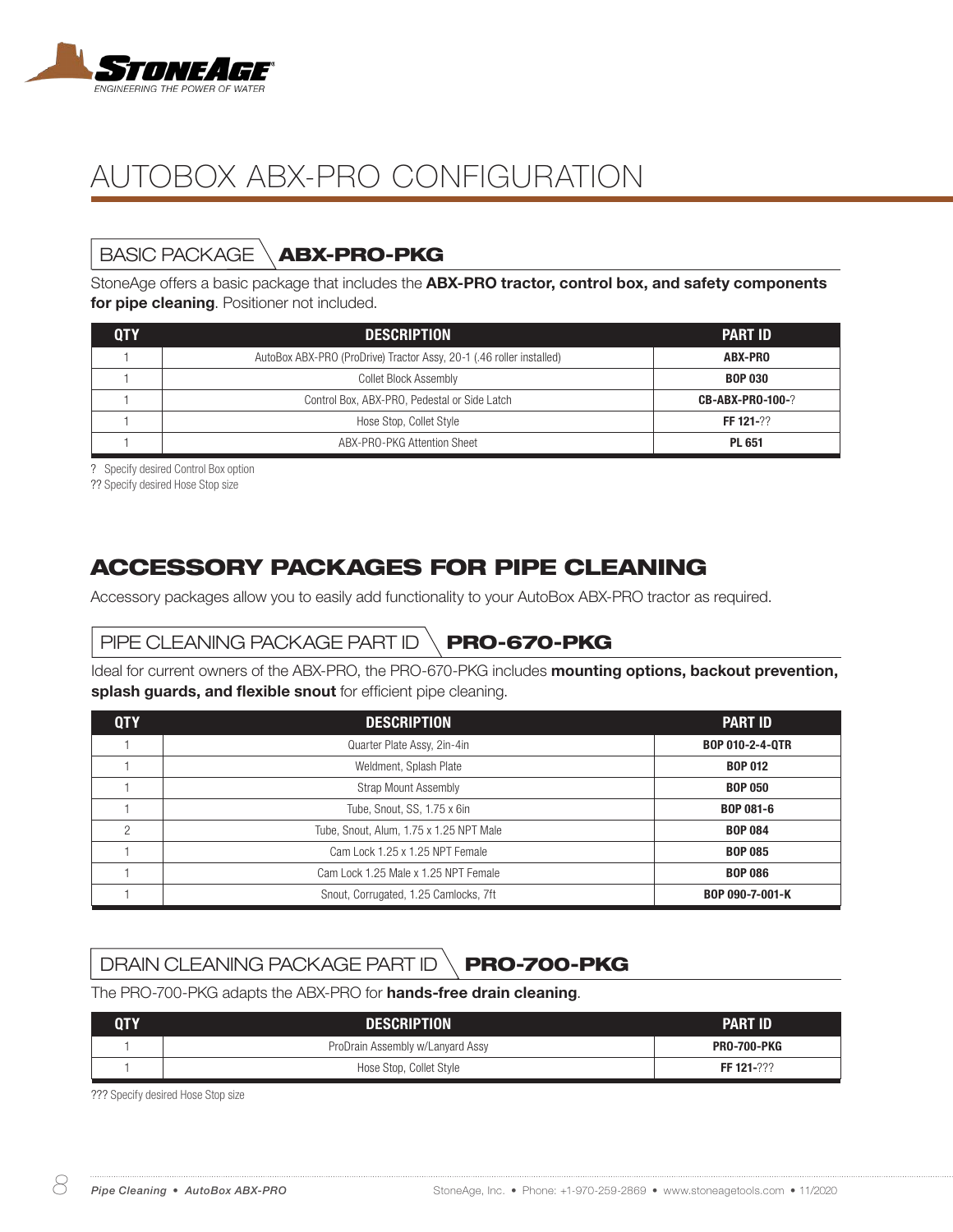

# BASIC PACKAGE  $\setminus$  ABX-PRO-PKG

StoneAge offers a basic package that includes the ABX-PRO tractor, control box, and safety components for pipe cleaning. Positioner not included.

| 0TY | <b>DESCRIPTION</b>                                                   | <b>PART ID</b>          |
|-----|----------------------------------------------------------------------|-------------------------|
|     | AutoBox ABX-PRO (ProDrive) Tractor Assy, 20-1 (.46 roller installed) | ABX-PRO                 |
|     | Collet Block Assembly                                                | <b>BOP 030</b>          |
|     | Control Box, ABX-PRO, Pedestal or Side Latch                         | <b>CB-ABX-PRO-100-?</b> |
|     | Hose Stop, Collet Style                                              | FF 121-22               |
|     | ABX-PRO-PKG Attention Sheet                                          | <b>PL 651</b>           |

? Specify desired Control Box option

?? Specify desired Hose Stop size

## ACCESSORY PACKAGES FOR PIPE CLEANING

Accessory packages allow you to easily add functionality to your AutoBox ABX-PRO tractor as required.

## PIPE CLEANING PACKAGE PART ID  $\setminus$  PRO-670-PKG

Ideal for current owners of the ABX-PRO, the PRO-670-PKG includes mounting options, backout prevention, splash guards, and flexible snout for efficient pipe cleaning.

| <b>QTY</b>     | <b>DESCRIPTION</b>                                     | <b>PART ID</b>         |  |
|----------------|--------------------------------------------------------|------------------------|--|
|                | Quarter Plate Assy, 2in-4in                            | <b>BOP 010-2-4-0TR</b> |  |
|                | Weldment, Splash Plate                                 | <b>BOP 012</b>         |  |
|                | <b>Strap Mount Assembly</b>                            | <b>BOP 050</b>         |  |
|                | Tube, Snout, SS, 1.75 x 6in                            | <b>BOP 081-6</b>       |  |
| $\mathfrak{p}$ | Tube, Snout, Alum, 1.75 x 1.25 NPT Male                | <b>BOP 084</b>         |  |
|                | Cam Lock 1.25 x 1.25 NPT Female                        | <b>BOP 085</b>         |  |
|                | Cam Lock 1.25 Male x 1.25 NPT Female<br><b>BOP 086</b> |                        |  |
|                | Snout, Corrugated, 1.25 Camlocks, 7ft                  | BOP 090-7-001-K        |  |

## DRAIN CLEANING PACKAGE PART ID  $\setminus$  PRO-700-PKG

The PRO-700-PKG adapts the ABX-PRO for hands-free drain cleaning.

| QTY | <b>DESCRIPTION</b>               | <b>PART ID</b>     |
|-----|----------------------------------|--------------------|
|     | ProDrain Assembly w/Lanyard Assy | <b>PRO-700-PKG</b> |
|     | Hose Stop, Collet Style          | FF 121-???         |

??? Specify desired Hose Stop size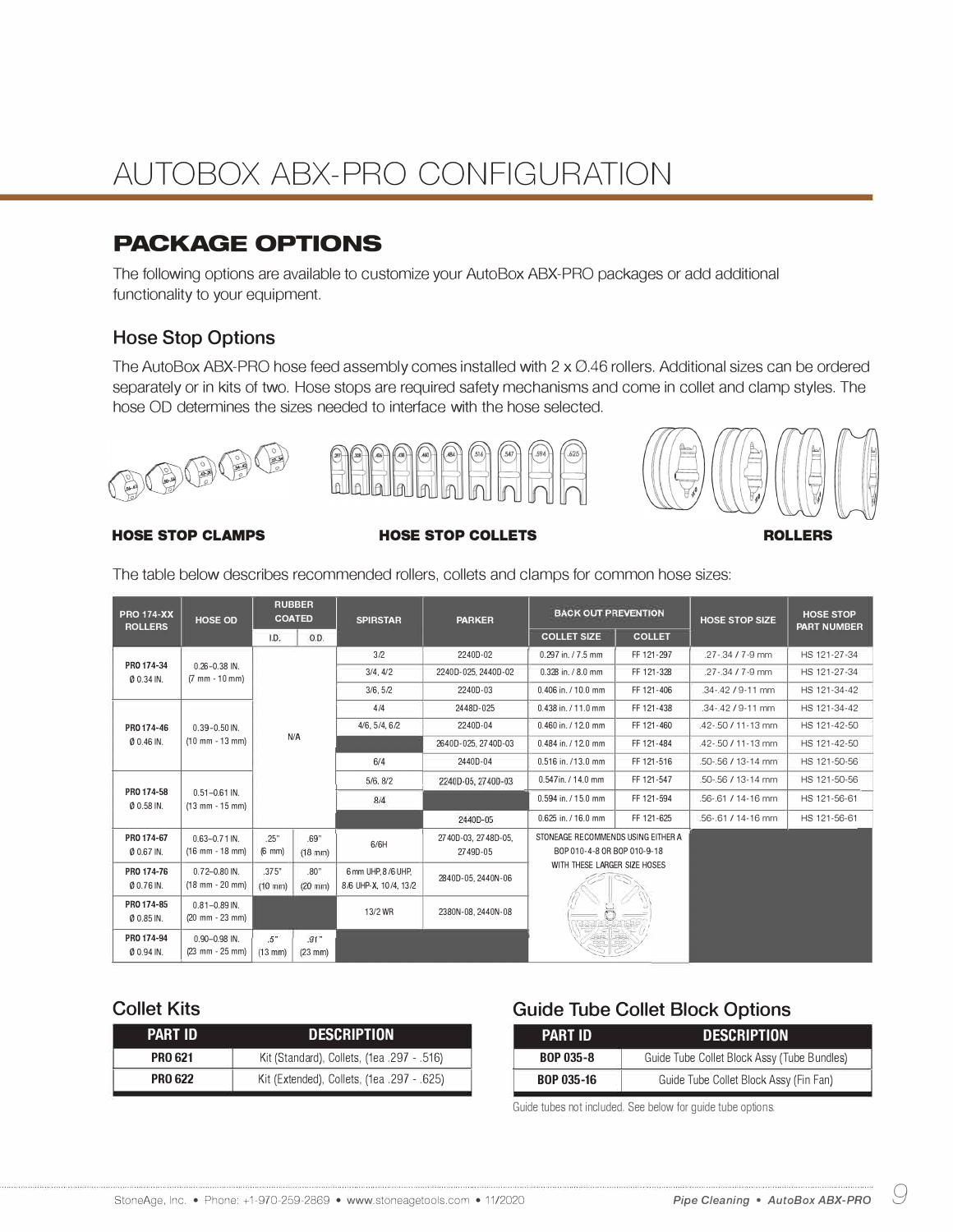## **PACKAGE OPTIONS**

The following options are available to customize your AutoBox ABX-PRO packages or add additional functionality to your equipment.

#### **Hose Stop Options**

The AutoBox ABX-PRO hose feed assembly comes installed with 2 x 0.46 rollers. Additional sizes can be ordered separately or in kits of two. Hose stops are required safety mechanisms and come in collet and clamp styles. The hose OD determines the sizes needed to interface with the hose selected.







#### **HOSE STOP CLAMPS HOSE STOP COLLETS ROLLERS**

| <b>PRO 174-XX</b><br><b>ROLLERS</b>             | <b>HOSE OD</b>                                             | <b>RUBBER</b><br><b>COATED</b>                   |                           | <b>PARKER</b><br><b>SPIRSTAR</b>             | <b>BACK OUT PREVENTION</b>      |                                                                   | <b>HOSE STOP SIZE</b> | <b>HOSE STOP</b><br><b>PART NUMBER</b> |              |
|-------------------------------------------------|------------------------------------------------------------|--------------------------------------------------|---------------------------|----------------------------------------------|---------------------------------|-------------------------------------------------------------------|-----------------------|----------------------------------------|--------------|
|                                                 |                                                            | I.D.                                             | 0.D.                      |                                              |                                 | <b>COLLET SIZE</b>                                                | <b>COLLET</b>         |                                        |              |
|                                                 |                                                            |                                                  |                           | 3/2                                          | 2240D-02                        | 0.297 in. / 7.5 mm                                                | FF 121-297            | .27-.34 / 7-9 mm                       | HS 121-27-34 |
| PRO 174-34<br>Ø 0.34 IN.                        | $0.26 - 0.38$ IN.<br>$(7 \, \text{mm} - 10 \, \text{mm})$  |                                                  |                           | 3/4.4/2                                      | 2240D-025.2440D-02              | 0.328 in. / 8.0 mm                                                | FF 121-328            | $.27 - 34 / 7 - 9$ mm                  | HS 121-27-34 |
|                                                 |                                                            |                                                  |                           | 3/6, 5/2                                     | 2240D-03                        | 0.406 in. / 10.0 mm                                               | FF 121-406            | .34-.42 / 9-11 mm                      | HS 121-34-42 |
|                                                 |                                                            |                                                  |                           | 4/4                                          | 2448D-025                       | 0.438 in. / 11.0 mm                                               | FF 121-438            | .34-.42 / 9-11 mm                      | HS 121-34-42 |
| PRO 174-46                                      | $0.39 - 0.50$ IN.                                          |                                                  |                           | 4/6, 5/4, 6/2                                | 2240D-04                        | 0.460 in. / 12.0 mm                                               | FF 121-460            | .42-.50 / 11-13 mm                     | HS 121-42-50 |
| $0.46$ IN.                                      | $(10 \text{ mm} - 13 \text{ mm})$                          | N/A                                              |                           |                                              | 2640D-025, 2740D-03             | 0.484 in. / 12.0 mm                                               | FF 121-484            | .42-.50 / 11-13 mm                     | HS 121-42-50 |
|                                                 |                                                            |                                                  |                           | 6/4                                          | 2440D-04                        | 0.516 in. /13.0 mm                                                | FF 121-516            | .50-.56 / 13-14 mm                     | HS 121-50-56 |
|                                                 |                                                            |                                                  |                           | 5/6, 8/2                                     | 2240D-05, 2740D-03              | 0.547in. / 14.0 mm                                                | FF 121-547            | .50-.56 / 13-14 mm                     | HS 121-50-56 |
| PRO 174-58<br>$(13$ mm - $15$ mm)<br>$0.58$ IN. | $0.51 - 0.61$ IN.                                          |                                                  |                           | 8/4                                          |                                 | 0.594 in. / 15.0 mm                                               | FF 121-594            | .56-.61 / 14-16 mm                     | HS 121-56-61 |
|                                                 |                                                            |                                                  |                           |                                              | 2440D-05                        | 0.625 in. / 16.0 mm                                               | FF 121-625            | .56-.61 / 14-16 mm                     | HS 121-56-61 |
| PRO 174-67<br>Ø 0.67 IN.                        | $0.63 - 0.71$ IN.<br>$(16$ mm - $18$ mm)                   | .25"<br>.69"<br>$(18$ mm $)$<br>$(6 \text{ mm})$ |                           | 6/6H                                         | 2740D-03, 2748D-05,<br>2749D-05 | STONEAGE RECOMMENDS USING EITHER A<br>BOP 010-4-8 OR BOP 010-9-18 |                       |                                        |              |
| PRO 174-76<br>Ø 0.76 IN.                        | $0.72 - 0.80$ IN.<br>$(18$ mm - 20 mm)                     | .375"<br>$(10 \text{ mm})$                       | .80"<br>$(20 \text{ mm})$ | 6 mm UHP, 8 /6 UHP.<br>8/6 UHP-X, 10/4, 13/2 | 2840D-05, 2440N-06              | WITH THESE LARGER SIZE HOSES                                      |                       |                                        |              |
| PRO 174-85<br>Ø 0.85 IN.                        | $0.81 - 0.89$ IN.<br>$(20 \, \text{mm} - 23 \, \text{mm})$ |                                                  |                           | 13/2 WR                                      | 2380N-08.2440N-08               |                                                                   |                       |                                        |              |
| PRO 174-94<br>Ø 0.94 IN.                        | $0.90 - 0.98$ IN.<br>$(23 \, \text{mm} - 25 \, \text{mm})$ | .5 <sup>n</sup><br>$(13$ mm)                     | 91"<br>$(23$ mm $)$       |                                              |                                 |                                                                   |                       |                                        |              |

The table below describes recommended rollers, collets and clamps for common hose sizes:

| <b>PART ID</b> | <b>DESCRIPTION</b>                         |
|----------------|--------------------------------------------|
| <b>PRO 621</b> | Kit (Standard), Collets, (1ea. 297 - .516) |
| <b>PRO 622</b> | Kit (Extended), Collets, (1ea. 297 - .625) |

#### **Collet Kits Collet Kits Guide Tube Collet Block Options**

| PART ID           | <b>DESCRIPTION</b>                          |
|-------------------|---------------------------------------------|
| <b>BOP 035-8</b>  | Guide Tube Collet Block Assy (Tube Bundles) |
| <b>BOP 035-16</b> | Guide Tube Collet Block Assy (Fin Fan)      |

Guide tubes not included. See below for guide tube options.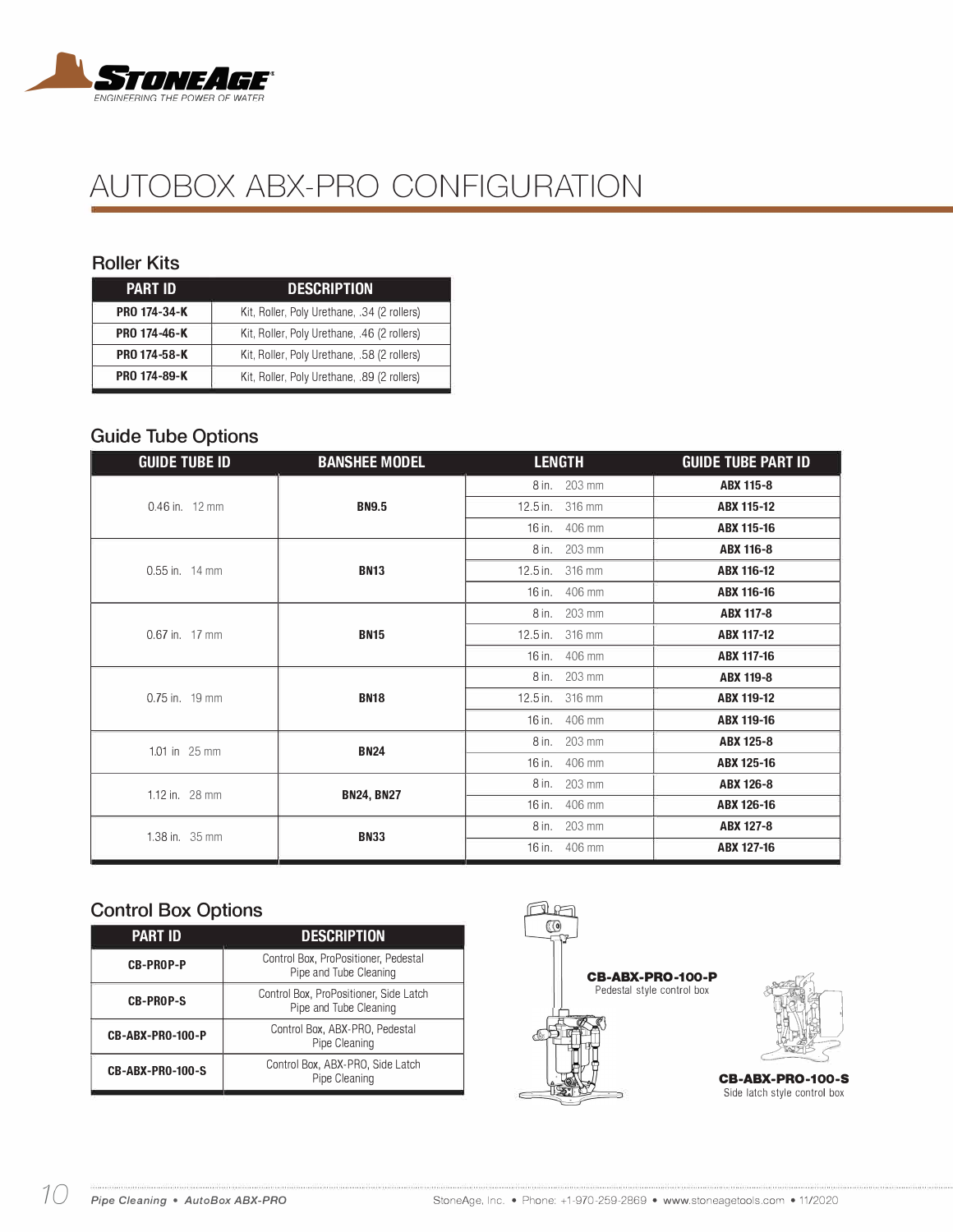

#### **Roller Kits**

| <b>PART ID</b> | <b>DESCRIPTION</b>                          |
|----------------|---------------------------------------------|
| PRO 174-34-K   | Kit, Roller, Poly Urethane, .34 (2 rollers) |
| PRO 174-46-K   | Kit, Roller, Poly Urethane, .46 (2 rollers) |
| PRO 174-58-K   | Kit, Roller, Poly Urethane, .58 (2 rollers) |
| PRO 174-89-K   | Kit, Roller, Poly Urethane, .89 (2 rollers) |

#### **Guide Tube Options**

| <b>GUIDE TUBE ID</b>     | <b>BANSHEE MODEL</b>                            | <b>LENGTH</b>   | <b>GUIDE TUBE PART ID</b> |
|--------------------------|-------------------------------------------------|-----------------|---------------------------|
|                          |                                                 | 8 in. 203 mm    | <b>ABX 115-8</b>          |
| $0.46$ in. 12 mm         | <b>BN9.5</b>                                    | 12.5 in. 316 mm | ABX 115-12                |
|                          |                                                 | 16 in. 406 mm   | ABX 115-16                |
|                          |                                                 | 8 in. 203 mm    | ABX 116-8                 |
| $0.55$ in. 14 mm         | <b>BN13</b>                                     | 12.5 in. 316 mm | ABX 116-12                |
|                          |                                                 | 16 in. 406 mm   | ABX 116-16                |
|                          | <b>BN15</b>                                     | 8 in. 203 mm    | <b>ABX 117-8</b>          |
| $0.67$ in. 17 mm         |                                                 | 12.5 in. 316 mm | ABX 117-12                |
|                          |                                                 | 16 in. 406 mm   | ABX 117-16                |
|                          |                                                 | 8 in. 203 mm    | ABX 119-8                 |
| $0.75$ in. 19 mm         | <b>BN18</b><br><b>BN24</b><br><b>BN24, BN27</b> | 12.5 in. 316 mm | ABX 119-12                |
|                          |                                                 | 16 in. 406 mm   | ABX 119-16                |
| 1.01 in $25 \text{ mm}$  |                                                 | 8 in. 203 mm    | ABX 125-8                 |
|                          |                                                 | 16 in. 406 mm   | ABX 125-16                |
| 1.12 in. $28 \text{ mm}$ |                                                 | 8 in. 203 mm    | ABX 126-8                 |
|                          |                                                 | 16 in. 406 mm   | ABX 126-16                |
| 1.38 in. 35 mm           |                                                 | 8 in. 203 mm    | ABX 127-8                 |
|                          | <b>BN33</b>                                     | 16 in. 406 mm   | ABX 127-16                |

#### **Control Box Options**

| ———————          |                                                                  |
|------------------|------------------------------------------------------------------|
| <b>PART ID</b>   | <b>DESCRIPTION</b>                                               |
| <b>CB-PROP-P</b> | Control Box, ProPositioner, Pedestal<br>Pipe and Tube Cleaning   |
| <b>CB-PROP-S</b> | Control Box, ProPositioner, Side Latch<br>Pipe and Tube Cleaning |
| CB-ABX-PR0-100-P | Control Box, ABX-PRO, Pedestal<br>Pipe Cleaning                  |
| CB-ABX-PRO-100-S | Control Box, ABX-PRO, Side Latch<br>Pipe Cleaning                |
|                  |                                                                  |





Side latch style control box